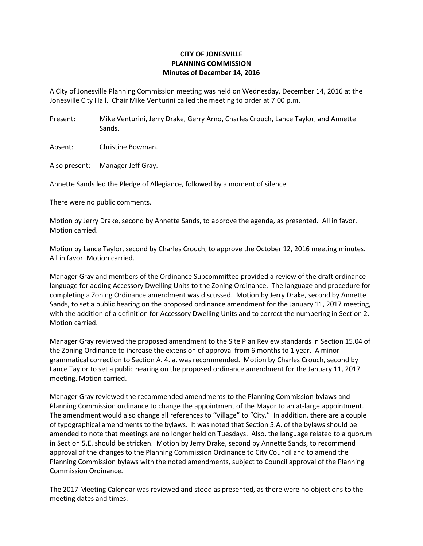## **CITY OF JONESVILLE PLANNING COMMISSION Minutes of December 14, 2016**

A City of Jonesville Planning Commission meeting was held on Wednesday, December 14, 2016 at the Jonesville City Hall. Chair Mike Venturini called the meeting to order at 7:00 p.m.

Present: Mike Venturini, Jerry Drake, Gerry Arno, Charles Crouch, Lance Taylor, and Annette Sands.

Absent: Christine Bowman.

Also present: Manager Jeff Gray.

Annette Sands led the Pledge of Allegiance, followed by a moment of silence.

There were no public comments.

Motion by Jerry Drake, second by Annette Sands, to approve the agenda, as presented. All in favor. Motion carried.

Motion by Lance Taylor, second by Charles Crouch, to approve the October 12, 2016 meeting minutes. All in favor. Motion carried.

Manager Gray and members of the Ordinance Subcommittee provided a review of the draft ordinance language for adding Accessory Dwelling Units to the Zoning Ordinance. The language and procedure for completing a Zoning Ordinance amendment was discussed. Motion by Jerry Drake, second by Annette Sands, to set a public hearing on the proposed ordinance amendment for the January 11, 2017 meeting, with the addition of a definition for Accessory Dwelling Units and to correct the numbering in Section 2. Motion carried.

Manager Gray reviewed the proposed amendment to the Site Plan Review standards in Section 15.04 of the Zoning Ordinance to increase the extension of approval from 6 months to 1 year. A minor grammatical correction to Section A. 4. a. was recommended. Motion by Charles Crouch, second by Lance Taylor to set a public hearing on the proposed ordinance amendment for the January 11, 2017 meeting. Motion carried.

Manager Gray reviewed the recommended amendments to the Planning Commission bylaws and Planning Commission ordinance to change the appointment of the Mayor to an at-large appointment. The amendment would also change all references to "Village" to "City." In addition, there are a couple of typographical amendments to the bylaws. It was noted that Section 5.A. of the bylaws should be amended to note that meetings are no longer held on Tuesdays. Also, the language related to a quorum in Section 5.E. should be stricken. Motion by Jerry Drake, second by Annette Sands, to recommend approval of the changes to the Planning Commission Ordinance to City Council and to amend the Planning Commission bylaws with the noted amendments, subject to Council approval of the Planning Commission Ordinance.

The 2017 Meeting Calendar was reviewed and stood as presented, as there were no objections to the meeting dates and times.